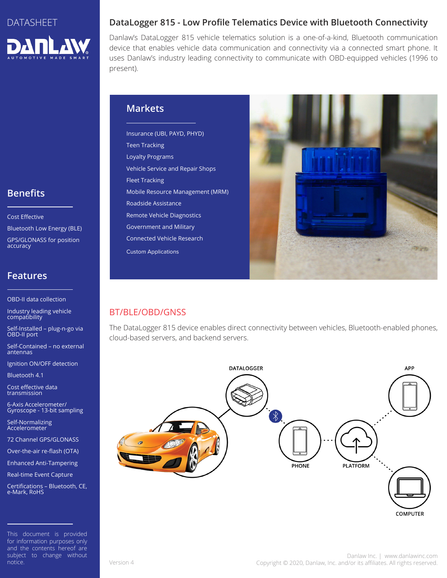

## **Benefits**

Cost Effective

Bluetooth Low Energy (BLE)

GPS/GLONASS for position accuracy

#### **Features**

OBD-II data collection

Industry leading vehicle compatibility

Self-Installed – plug-n-go via OBD-II port

Self-Contained – no external antennas

Ignition ON/OFF detection

Bluetooth 4.1

Cost effective data transmission

6-Axis Accelerometer/ Gyroscope - 13-bit sampling

Self-Normalizing Accelerometer

72 Channel GPS/GLONASS

Over-the-air re-flash (OTA)

Enhanced Anti-Tampering Real-time Event Capture

Certifications – Bluetooth, CE, e-Mark, RoHS

This document is provided for information purposes only and the contents hereof are subject to change without notice.

#### **DataLogger 815 - Low Profile Telematics Device with Bluetooth Connectivity**

Danlaw's DataLogger 815 vehicle telematics solution is a one-of-a-kind, Bluetooth communication device that enables vehicle data communication and connectivity via a connected smart phone. It uses Danlaw's industry leading connectivity to communicate with OBD-equipped vehicles (1996 to present).

#### **Markets**

Insurance (UBI, PAYD, PHYD) Teen Tracking Loyalty Programs Vehicle Service and Repair Shops Fleet Tracking Mobile Resource Management (MRM) Roadside Assistance Remote Vehicle Diagnostics Government and Military Connected Vehicle Research Custom Applications



### BT/BLE/OBD/GNSS

The DataLogger 815 device enables direct connectivity between vehicles, Bluetooth-enabled phones, cloud-based servers, and backend servers.